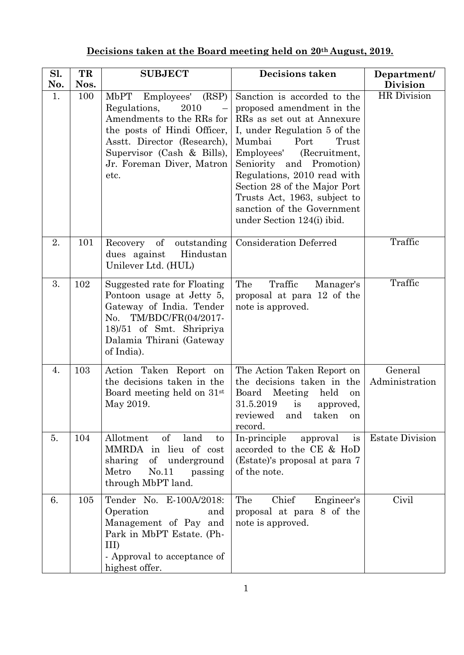| Sl. | TR   | <b>SUBJECT</b>                                                                                                                                                                                                    | <b>Decisions taken</b>                                                                                                                                                                                                                                                                                                                                                  | Department/               |
|-----|------|-------------------------------------------------------------------------------------------------------------------------------------------------------------------------------------------------------------------|-------------------------------------------------------------------------------------------------------------------------------------------------------------------------------------------------------------------------------------------------------------------------------------------------------------------------------------------------------------------------|---------------------------|
| No. | Nos. |                                                                                                                                                                                                                   |                                                                                                                                                                                                                                                                                                                                                                         | <b>Division</b>           |
| 1.  | 100  | MbPT<br>(RSP)<br>Employees'<br>Regulations,<br>2010<br>Amendments to the RRs for<br>the posts of Hindi Officer,<br>Asstt. Director (Research),<br>Supervisor (Cash & Bills),<br>Jr. Foreman Diver, Matron<br>etc. | Sanction is accorded to the<br>proposed amendment in the<br>RRs as set out at Annexure<br>I, under Regulation 5 of the<br>Mumbai<br>Port<br>Trust<br>Employees'<br>(Recruitment,<br>Seniority and Promotion)<br>Regulations, 2010 read with<br>Section 28 of the Major Port<br>Trusts Act, 1963, subject to<br>sanction of the Government<br>under Section 124(i) ibid. | HR Division               |
| 2.  | 101  | Recovery of<br>outstanding<br>Hindustan<br>dues against<br>Unilever Ltd. (HUL)                                                                                                                                    | <b>Consideration Deferred</b>                                                                                                                                                                                                                                                                                                                                           | Traffic                   |
| 3.  | 102  | Suggested rate for Floating<br>Pontoon usage at Jetty 5,<br>Gateway of India. Tender<br>No. TM/BDC/FR(04/2017-<br>18/51 of Smt. Shripriya<br>Dalamia Thirani (Gateway<br>of India).                               | Traffic<br>The<br>Manager's<br>proposal at para 12 of the<br>note is approved.                                                                                                                                                                                                                                                                                          | Traffic                   |
| 4.  | 103  | Action Taken Report on<br>the decisions taken in the<br>Board meeting held on 31 <sup>st</sup><br>May 2019.                                                                                                       | The Action Taken Report on<br>the decisions taken in the<br>Board<br>Meeting<br>held<br>on<br>31.5.2019<br>is<br>approved,<br>reviewed<br>taken<br>and<br>on<br>record.                                                                                                                                                                                                 | General<br>Administration |
| 5.  | 104  | $\sigma f$<br>Allotment<br>land<br>to<br>MMRDA in lieu of cost<br>underground<br>sharing<br>of<br>Metro<br>No.11<br>passing<br>through MbPT land.                                                                 | In-principle<br>is<br>approval<br>accorded to the CE & HoD<br>(Estate)'s proposal at para 7<br>of the note.                                                                                                                                                                                                                                                             | <b>Estate Division</b>    |
| 6.  | 105  | Tender No. E-100A/2018:<br>Operation<br>and<br>Management of Pay and<br>Park in MbPT Estate. (Ph-<br>III<br>- Approval to acceptance of<br>highest offer.                                                         | The<br>Chief<br>Engineer's<br>proposal at para 8 of the<br>note is approved.                                                                                                                                                                                                                                                                                            | Civil                     |

## **Decisions taken at the Board meeting held on 20th August, 2019.**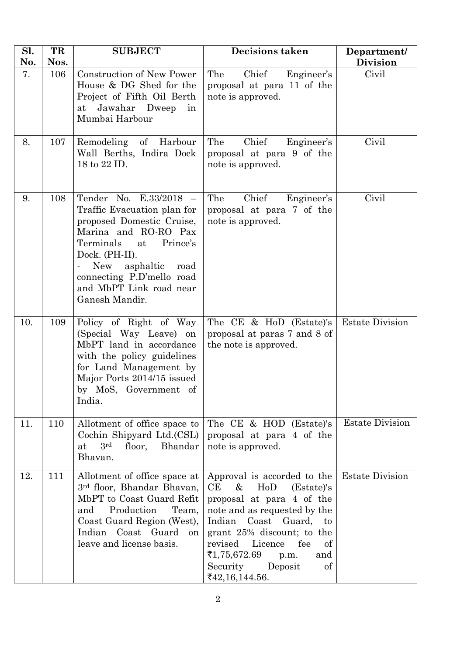| Sl.<br>No. | TR<br>Nos. | <b>SUBJECT</b>                                                                                                                                                                                                                                                           | <b>Decisions taken</b>                                                                                                                                                                                                                                                                            | Department/<br><b>Division</b> |
|------------|------------|--------------------------------------------------------------------------------------------------------------------------------------------------------------------------------------------------------------------------------------------------------------------------|---------------------------------------------------------------------------------------------------------------------------------------------------------------------------------------------------------------------------------------------------------------------------------------------------|--------------------------------|
| 7.         | 106        | Construction of New Power<br>House & DG Shed for the<br>Project of Fifth Oil Berth<br>Jawahar Dweep<br>at<br>in<br>Mumbai Harbour                                                                                                                                        | Chief<br>The<br>Engineer's<br>proposal at para 11 of the<br>note is approved.                                                                                                                                                                                                                     | Civil                          |
| 8.         | 107        | Remodeling<br>of Harbour<br>Wall Berths, Indira Dock<br>18 to 22 ID.                                                                                                                                                                                                     | Engineer's<br>The<br>Chief<br>proposal at para 9 of the<br>note is approved.                                                                                                                                                                                                                      | Civil                          |
| 9.         | 108        | Tender No. E.33/2018 -<br>Traffic Evacuation plan for<br>proposed Domestic Cruise,<br>Marina and RO-RO Pax<br>Terminals<br>Prince's<br>at<br>Dock. (PH-II).<br><b>New</b><br>asphaltic<br>road<br>connecting P.D'mello road<br>and MbPT Link road near<br>Ganesh Mandir. | Chief<br>The<br>Engineer's<br>proposal at para 7 of the<br>note is approved.                                                                                                                                                                                                                      | Civil                          |
| 10.        | 109        | Policy of Right of Way<br>(Special Way Leave) on<br>MbPT land in accordance<br>with the policy guidelines<br>for Land Management by<br>Major Ports 2014/15 issued<br>by MoS, Government of<br>India.                                                                     | The CE & HoD (Estate)'s<br>proposal at paras 7 and 8 of<br>the note is approved.                                                                                                                                                                                                                  | <b>Estate Division</b>         |
| 11.        | 110        | Allotment of office space to<br>Cochin Shipyard Ltd.(CSL)<br>3 <sup>rd</sup><br>floor, Bhandar<br>at<br>Bhavan.                                                                                                                                                          | The CE & HOD (Estate)'s<br>proposal at para 4 of the<br>note is approved.                                                                                                                                                                                                                         | <b>Estate Division</b>         |
| 12.        | 111        | Allotment of office space at<br>3rd floor, Bhandar Bhavan,<br>MbPT to Coast Guard Refit<br>Production<br>Team,<br>and<br>Coast Guard Region (West),<br>Indian Coast Guard<br><sub>on</sub><br>leave and license basis.                                                   | Approval is accorded to the<br>CE<br>&<br>HoD<br>(Estate)'s<br>proposal at para 4 of the<br>note and as requested by the<br>Indian Coast Guard, to<br>grant 25% discount; to the<br>revised<br>Licence<br>fee<br>of<br>₹1,75,672.69<br>and<br>p.m.<br>Security<br>Deposit<br>of<br>₹42,16,144.56. | <b>Estate Division</b>         |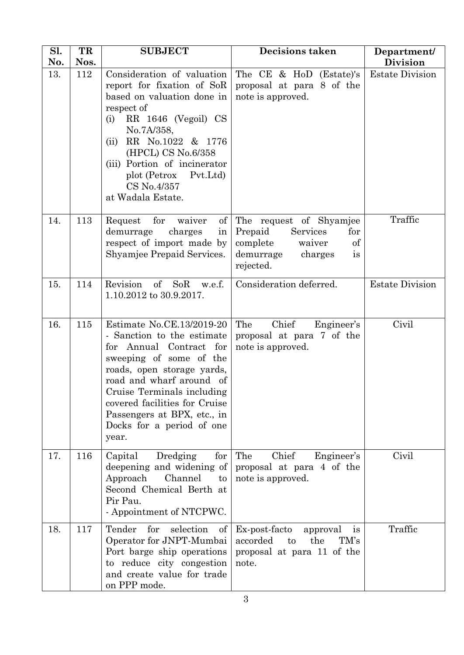| Sl.<br>No. | TR<br>Nos. | <b>SUBJECT</b>                                                                                                                                                                                                                                                                                              | <b>Decisions taken</b>                                                                                                                                                                                                                                                                                                                                                                                                                                                                                                                                                                                                | Department/<br><b>Division</b> |
|------------|------------|-------------------------------------------------------------------------------------------------------------------------------------------------------------------------------------------------------------------------------------------------------------------------------------------------------------|-----------------------------------------------------------------------------------------------------------------------------------------------------------------------------------------------------------------------------------------------------------------------------------------------------------------------------------------------------------------------------------------------------------------------------------------------------------------------------------------------------------------------------------------------------------------------------------------------------------------------|--------------------------------|
| 13.        | 112        | Consideration of valuation<br>report for fixation of SoR<br>based on valuation done in<br>respect of<br>RR 1646 (Vegoil) CS<br>(i)<br>No.7A/358,<br>RR No.1022 & 1776<br>(ii)<br>(HPCL) CS No.6/358<br>(iii) Portion of incinerator<br>plot (Petrox Pvt.Ltd)<br>CS No.4/357<br>at Wadala Estate.            | The CE & HoD (Estate)'s<br>proposal at para 8 of the<br>note is approved.                                                                                                                                                                                                                                                                                                                                                                                                                                                                                                                                             | <b>Estate Division</b>         |
| 14.        | 113        | $\mathrm{of}$<br>Request<br>for<br>waiver<br>demurrage<br>charges<br>in<br>respect of import made by<br>Shyamjee Prepaid Services.                                                                                                                                                                          | The request of Shyamjee<br>Prepaid<br>Services<br>for<br>$% \left( \left( \mathcal{A}\right) \right) ^{1}\left( \mathcal{A}\right) ^{1}\left( \mathcal{A}\right) ^{1}\left( \mathcal{A}\right) ^{1}\left( \mathcal{A}\right) ^{1}\left( \mathcal{A}\right) ^{1}\left( \mathcal{A}\right) ^{1}\left( \mathcal{A}\right) ^{1}\left( \mathcal{A}\right) ^{1}\left( \mathcal{A}\right) ^{1}\left( \mathcal{A}\right) ^{1}\left( \mathcal{A}\right) ^{1}\left( \mathcal{A}\right) ^{1}\left( \mathcal{A}\right) ^{1}\left( \mathcal{A}\right) ^{1}\left($<br>complete<br>waiver<br>demurrage<br>charges<br>is<br>rejected. | Traffic                        |
| 15.        | 114        | Revision<br>$\sigma$<br>SoR<br>w.e.f.<br>1.10.2012 to 30.9.2017.                                                                                                                                                                                                                                            | Consideration deferred.                                                                                                                                                                                                                                                                                                                                                                                                                                                                                                                                                                                               | <b>Estate Division</b>         |
| 16.        | 115        | Estimate No.CE.13/2019-20<br>- Sanction to the estimate<br>for Annual Contract for<br>sweeping of some of the<br>roads, open storage yards,<br>road and wharf around of<br>Cruise Terminals including<br>covered facilities for Cruise<br>Passengers at BPX, etc., in<br>Docks for a period of one<br>year. | Chief<br>The<br>Engineer's<br>proposal at para 7 of the<br>note is approved.                                                                                                                                                                                                                                                                                                                                                                                                                                                                                                                                          | Civil                          |
| 17.        | 116        | Capital<br>Dredging<br>for<br>deepening and widening of<br>Approach<br>Channel<br>$\mathbf{t}$<br>Second Chemical Berth at<br>Pir Pau.<br>- Appointment of NTCPWC.                                                                                                                                          | Engineer's<br>The<br>Chief<br>proposal at para 4 of the<br>note is approved.                                                                                                                                                                                                                                                                                                                                                                                                                                                                                                                                          | Civil                          |
| 18.        | 117        | for<br>selection<br>Tender<br>of<br>Operator for JNPT-Mumbai<br>Port barge ship operations<br>to reduce city congestion<br>and create value for trade<br>on PPP mode.                                                                                                                                       | Ex-post-facto<br>approval<br>1S<br>accorded<br>the<br>TM's<br>$\mathbf{t}$<br>proposal at para 11 of the<br>note.                                                                                                                                                                                                                                                                                                                                                                                                                                                                                                     | Traffic                        |